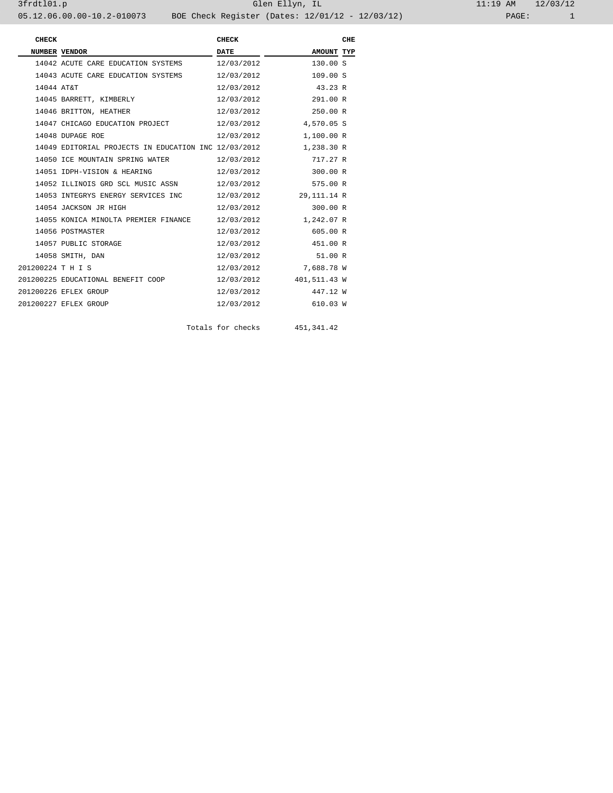| <b>CHECK</b>      |                                                      | <b>CHECK</b> |              | CHE |
|-------------------|------------------------------------------------------|--------------|--------------|-----|
| NUMBER VENDOR     |                                                      | <b>DATE</b>  | AMOUNT TYP   |     |
|                   | 14042 ACUTE CARE EDUCATION SYSTEMS                   | 12/03/2012   | 130.00 S     |     |
|                   | 14043 ACUTE CARE EDUCATION SYSTEMS                   | 12/03/2012   | 109.00 S     |     |
| 14044 AT&T        |                                                      | 12/03/2012   | 43.23R       |     |
|                   | 14045 BARRETT, KIMBERLY                              | 12/03/2012   | 291.00 R     |     |
|                   | 14046 BRITTON, HEATHER                               | 12/03/2012   | 250.00 R     |     |
|                   | 14047 CHICAGO EDUCATION PROJECT                      | 12/03/2012   | 4,570.05 S   |     |
|                   | 14048 DUPAGE ROE                                     | 12/03/2012   | 1,100.00 R   |     |
|                   | 14049 EDITORIAL PROJECTS IN EDUCATION INC 12/03/2012 |              | 1,238.30 R   |     |
|                   | 14050 ICE MOUNTAIN SPRING WATER                      | 12/03/2012   | 717.27 R     |     |
|                   | 14051 IDPH-VISION & HEARING                          | 12/03/2012   | 300.00 R     |     |
|                   | 14052 ILLINOIS GRD SCL MUSIC ASSN                    | 12/03/2012   | 575.00 R     |     |
|                   | 14053 INTEGRYS ENERGY SERVICES INC                   | 12/03/2012   | 29,111.14 R  |     |
|                   | 14054 JACKSON JR HIGH                                | 12/03/2012   | 300.00 R     |     |
|                   | 14055 KONICA MINOLTA PREMIER FINANCE                 | 12/03/2012   | 1,242.07 R   |     |
|                   | 14056 POSTMASTER                                     | 12/03/2012   | 605.00 R     |     |
|                   | 14057 PUBLIC STORAGE                                 | 12/03/2012   | 451.00 R     |     |
|                   | 14058 SMITH, DAN                                     | 12/03/2012   | 51.00 R      |     |
| 201200224 T H I S |                                                      | 12/03/2012   | 7,688.78 W   |     |
|                   | 201200225 EDUCATIONAL BENEFIT COOP                   | 12/03/2012   | 401,511.43 W |     |
|                   | 201200226 EFLEX GROUP                                | 12/03/2012   | 447.12 W     |     |
|                   | 201200227 EFLEX GROUP                                | 12/03/2012   | 610.03 W     |     |

Totals for checks 451,341.42